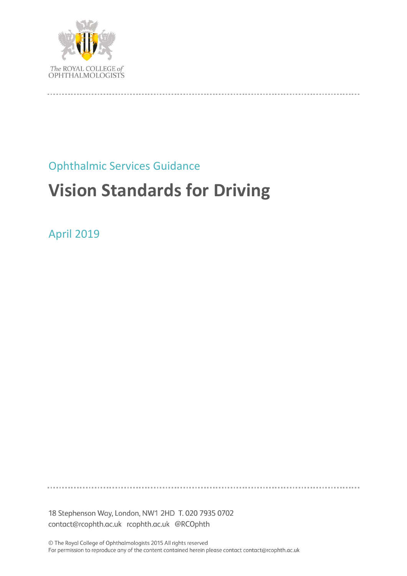

# Ophthalmic Services Guidance

# **Vision Standards for Driving**

April 2019

18 Stephenson Way, London, NW1 2HD T. 020 7935 0702 contact@rcophth.ac.uk rcophth.ac.uk @RCOphth

© The Royal College of Ophthalmologists 2015 All rights reserved For permission to reproduce any of the content contained herein please contact contact@rcophth.ac.uk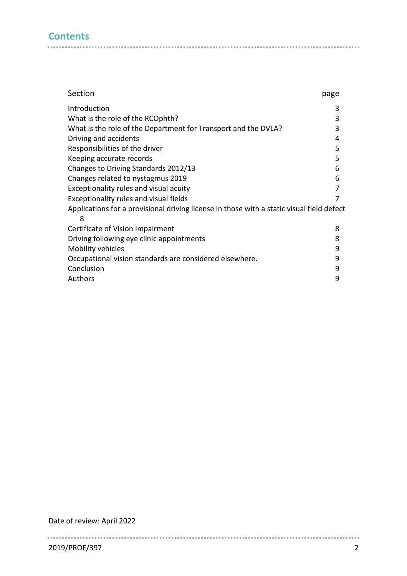# **Contents**

| Section                                                                                        | page |
|------------------------------------------------------------------------------------------------|------|
| Introduction                                                                                   | 3    |
| What is the role of the RCOphth?                                                               | 3    |
| What is the role of the Department for Transport and the DVLA?                                 | 3    |
| Driving and accidents                                                                          | 4    |
| Responsibilities of the driver                                                                 | 5    |
| Keeping accurate records                                                                       | 5    |
| Changes to Driving Standards 2012/13                                                           | 6    |
| Changes related to nystagmus 2019                                                              | 6    |
| Exceptionality rules and visual acuity                                                         | 7    |
| Exceptionality rules and visual fields                                                         | 7    |
| Applications for a provisional driving license in those with a static visual field defect<br>8 |      |
| Certificate of Vision Impairment                                                               | 8    |
| Driving following eye clinic appointments                                                      | 8    |
| Mobility vehicles                                                                              | 9    |
| Occupational vision standards are considered elsewhere.                                        | 9    |
| Conclusion                                                                                     | 9    |
| Authors                                                                                        | 9    |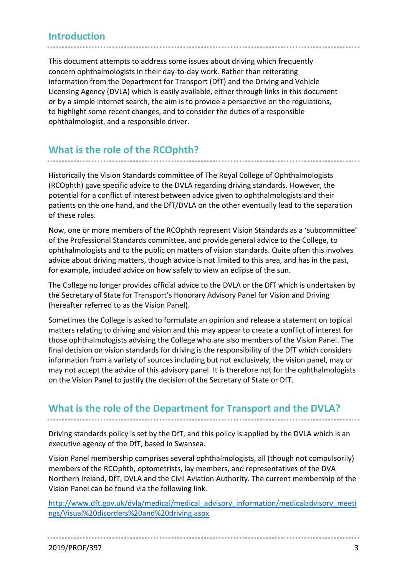## **Introduction**

This document attempts to address some issues about driving which frequently concern ophthalmologists in their day-to-day work. Rather than reiterating information from the Department for Transport (DfT) and the Driving and Vehicle Licensing Agency (DVLA) which is easily available, either through links in this document or by a simple internet search, the aim is to provide a perspective on the regulations, to highlight some recent changes, and to consider the duties of a responsible ophthalmologist, and a responsible driver.

# **What is the role of the RCOphth?**

Historically the Vision Standards committee of The Royal College of Ophthalmologists (RCOphth) gave specific advice to the DVLA regarding driving standards. However, the potential for a conflict of interest between advice given to ophthalmologists and their patients on the one hand, and the DfT/DVLA on the other eventually lead to the separation of these roles.

Now, one or more members of the RCOphth represent Vision Standards as a 'subcommittee' of the Professional Standards committee, and provide general advice to the College, to ophthalmologists and to the public on matters of vision standards. Quite often this involves advice about driving matters, though advice is not limited to this area, and has in the past, for example, included advice on how safely to view an eclipse of the sun.

The College no longer provides official advice to the DVLA or the DfT which is undertaken by the Secretary of State for Transport's Honorary Advisory Panel for Vision and Driving (hereafter referred to as the Vision Panel).

Sometimes the College is asked to formulate an opinion and release a statement on topical matters relating to driving and vision and this may appear to create a conflict of interest for those ophthalmologists advising the College who are also members of the Vision Panel. The final decision on vision standards for driving is the responsibility of the DfT which considers information from a variety of sources including but not exclusively, the vision panel, may or may not accept the advice of this advisory panel. It is therefore not for the ophthalmologists on the Vision Panel to justify the decision of the Secretary of State or DfT.

## **What is the role of the Department for Transport and the DVLA?**

Driving standards policy is set by the DfT, and this policy is applied by the DVLA which is an executive agency of the DfT, based in Swansea.

Vision Panel membership comprises several ophthalmologists, all (though not compulsorily) members of the RCOphth, optometrists, lay members, and representatives of the DVA Northern Ireland, DfT, DVLA and the Civil Aviation Authority. The current membership of the Vision Panel can be found via the following link.

[http://www.dft.gov.uk/dvla/medical/medical\\_advisory\\_information/medicaladvisory\\_meeti](http://www.dft.gov.uk/dvla/medical/medical_advisory_information/medicaladvisory_meetings/Visual%20disorders%20and%20driving.aspx) [ngs/Visual%20disorders%20and%20driving.aspx](http://www.dft.gov.uk/dvla/medical/medical_advisory_information/medicaladvisory_meetings/Visual%20disorders%20and%20driving.aspx)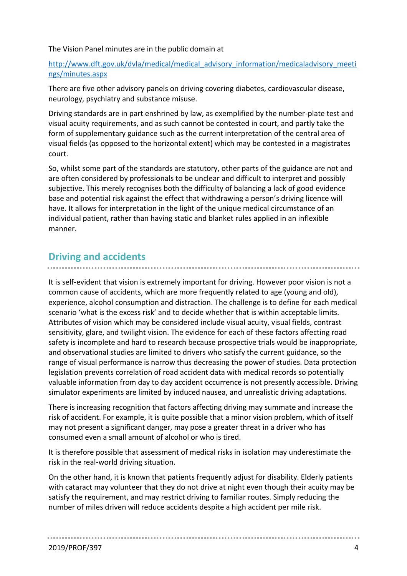The Vision Panel minutes are in the public domain at

#### [http://www.dft.gov.uk/dvla/medical/medical\\_advisory\\_information/medicaladvisory\\_meeti](http://www.dft.gov.uk/dvla/medical/medical_advisory_information/medicaladvisory_meetings/minutes.aspx) [ngs/minutes.aspx](http://www.dft.gov.uk/dvla/medical/medical_advisory_information/medicaladvisory_meetings/minutes.aspx)

There are five other advisory panels on driving covering diabetes, cardiovascular disease, neurology, psychiatry and substance misuse.

Driving standards are in part enshrined by law, as exemplified by the number-plate test and visual acuity requirements, and as such cannot be contested in court, and partly take the form of supplementary guidance such as the current interpretation of the central area of visual fields (as opposed to the horizontal extent) which may be contested in a magistrates court.

So, whilst some part of the standards are statutory, other parts of the guidance are not and are often considered by professionals to be unclear and difficult to interpret and possibly subjective. This merely recognises both the difficulty of balancing a lack of good evidence base and potential risk against the effect that withdrawing a person's driving licence will have. It allows for interpretation in the light of the unique medical circumstance of an individual patient, rather than having static and blanket rules applied in an inflexible manner.

# **Driving and accidents**

It is self-evident that vision is extremely important for driving. However poor vision is not a common cause of accidents, which are more frequently related to age (young and old), experience, alcohol consumption and distraction. The challenge is to define for each medical scenario 'what is the excess risk' and to decide whether that is within acceptable limits. Attributes of vision which may be considered include visual acuity, visual fields, contrast sensitivity, glare, and twilight vision. The evidence for each of these factors affecting road safety is incomplete and hard to research because prospective trials would be inappropriate, and observational studies are limited to drivers who satisfy the current guidance, so the range of visual performance is narrow thus decreasing the power of studies. Data protection legislation prevents correlation of road accident data with medical records so potentially valuable information from day to day accident occurrence is not presently accessible. Driving simulator experiments are limited by induced nausea, and unrealistic driving adaptations.

There is increasing recognition that factors affecting driving may summate and increase the risk of accident. For example, it is quite possible that a minor vision problem, which of itself may not present a significant danger, may pose a greater threat in a driver who has consumed even a small amount of alcohol or who is tired.

It is therefore possible that assessment of medical risks in isolation may underestimate the risk in the real-world driving situation.

On the other hand, it is known that patients frequently adjust for disability. Elderly patients with cataract may volunteer that they do not drive at night even though their acuity may be satisfy the requirement, and may restrict driving to familiar routes. Simply reducing the number of miles driven will reduce accidents despite a high accident per mile risk.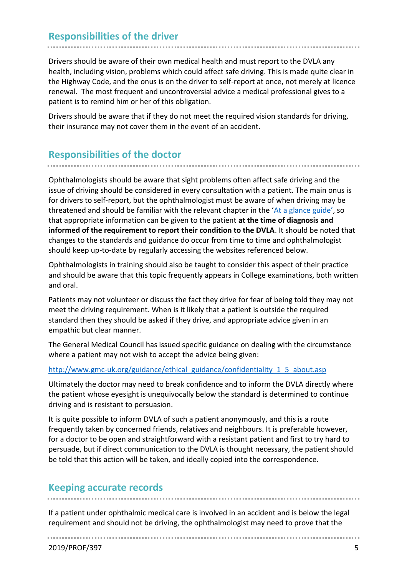# **Responsibilities of the driver**

Drivers should be aware of their own medical health and must report to the DVLA any health, including vision, problems which could affect safe driving. This is made quite clear in the Highway Code, and the onus is on the driver to self-report at once, not merely at licence renewal. The most frequent and uncontroversial advice a medical professional gives to a patient is to remind him or her of this obligation.

Drivers should be aware that if they do not meet the required vision standards for driving, their insurance may not cover them in the event of an accident.

## **Responsibilities of the doctor**

Ophthalmologists should be aware that sight problems often affect safe driving and the issue of driving should be considered in every consultation with a patient. The main onus is for drivers to self-report, but the ophthalmologist must be aware of when driving may be threatened and should be familiar with the relevant chapter in the ['At a glance guide'](http://www.dft.gov.uk/dvla/medical/aag.aspx), so that appropriate information can be given to the patient **at the time of diagnosis and informed of the requirement to report their condition to the DVLA**. It should be noted that changes to the standards and guidance do occur from time to time and ophthalmologist should keep up-to-date by regularly accessing the websites referenced below.

Ophthalmologists in training should also be taught to consider this aspect of their practice and should be aware that this topic frequently appears in College examinations, both written and oral.

Patients may not volunteer or discuss the fact they drive for fear of being told they may not meet the driving requirement. When is it likely that a patient is outside the required standard then they should be asked if they drive, and appropriate advice given in an empathic but clear manner.

The General Medical Council has issued specific guidance on dealing with the circumstance where a patient may not wish to accept the advice being given:

#### [http://www.gmc-uk.org/guidance/ethical\\_guidance/confidentiality\\_1\\_5\\_about.asp](http://www.gmc-uk.org/guidance/ethical_guidance/confidentiality_1_5_about.asp)

Ultimately the doctor may need to break confidence and to inform the DVLA directly where the patient whose eyesight is unequivocally below the standard is determined to continue driving and is resistant to persuasion.

It is quite possible to inform DVLA of such a patient anonymously, and this is a route frequently taken by concerned friends, relatives and neighbours. It is preferable however, for a doctor to be open and straightforward with a resistant patient and first to try hard to persuade, but if direct communication to the DVLA is thought necessary, the patient should be told that this action will be taken, and ideally copied into the correspondence.

#### **Keeping accurate records**

If a patient under ophthalmic medical care is involved in an accident and is below the legal requirement and should not be driving, the ophthalmologist may need to prove that the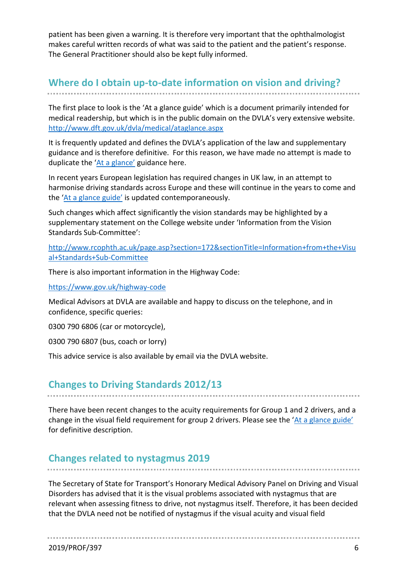patient has been given a warning. It is therefore very important that the ophthalmologist makes careful written records of what was said to the patient and the patient's response. The General Practitioner should also be kept fully informed.

# **Where do I obtain up-to-date information on vision and driving?**

The first place to look is the 'At a glance guide' which is a document primarily intended for medical readership, but which is in the public domain on the DVLA's very extensive website. <http://www.dft.gov.uk/dvla/medical/ataglance.aspx>

It is frequently updated and defines the DVLA's application of the law and supplementary guidance and is therefore definitive. For this reason, we have made no attempt is made to duplicate the 'At [a glance'](http://www.dft.gov.uk/dvla/medical/aag.aspx) guidance here.

In recent years European legislation has required changes in UK law, in an attempt to harmonise driving standards across Europe and these will continue in the years to come and the ['At a glance guide'](http://www.dft.gov.uk/dvla/medical/aag.aspx) is updated contemporaneously.

Such changes which affect significantly the vision standards may be highlighted by a supplementary statement on the College website under 'Information from the Vision Standards Sub-Committee':

[http://www.rcophth.ac.uk/page.asp?section=172&sectionTitle=Information+from+the+Visu](http://www.rcophth.ac.uk/page.asp?section=172§ionTitle=Information+from+the+Visual+Standards+Sub-Committee) [al+Standards+Sub-Committee](http://www.rcophth.ac.uk/page.asp?section=172§ionTitle=Information+from+the+Visual+Standards+Sub-Committee)

There is also important information in the Highway Code:

<https://www.gov.uk/highway-code>

Medical Advisors at DVLA are available and happy to discuss on the telephone, and in confidence, specific queries:

0300 790 6806 (car or motorcycle),

0300 790 6807 (bus, coach or lorry)

This advice service is also available by email via the DVLA website.

## **Changes to Driving Standards 2012/13**

There have been recent changes to the acuity requirements for Group 1 and 2 drivers, and a change in the visual field requirement for group 2 drivers. Please see the ['At a glance guide'](http://www.dft.gov.uk/dvla/medical/aag.aspx) for definitive description.

## **Changes related to nystagmus 2019**

The Secretary of State for Transport's Honorary Medical Advisory Panel on Driving and Visual Disorders has advised that it is the visual problems associated with nystagmus that are relevant when assessing fitness to drive, not nystagmus itself. Therefore, it has been decided that the DVLA need not be notified of nystagmus if the visual acuity and visual field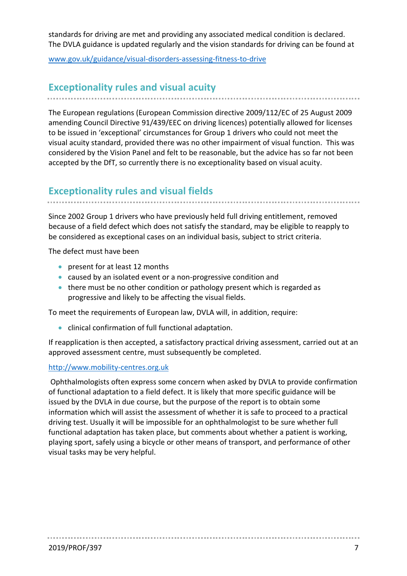standards for driving are met and providing any associated medical condition is declared. The DVLA guidance is updated regularly and the vision standards for driving can be found at

[www.gov.uk/guidance/visual-disorders-assessing-fitness-to-drive](http://www.gov.uk/guidance/visual-disorders-assessing-fitness-to-drive)

# **Exceptionality rules and visual acuity**

The European regulations (European Commission directive 2009/112/EC of 25 August 2009 amending Council Directive 91/439/EEC on driving licences) potentially allowed for licenses to be issued in 'exceptional' circumstances for Group 1 drivers who could not meet the visual acuity standard, provided there was no other impairment of visual function. This was considered by the Vision Panel and felt to be reasonable, but the advice has so far not been accepted by the DfT, so currently there is no exceptionality based on visual acuity.

## **Exceptionality rules and visual fields**

Since 2002 Group 1 drivers who have previously held full driving entitlement, removed because of a field defect which does not satisfy the standard, may be eligible to reapply to be considered as exceptional cases on an individual basis, subject to strict criteria.

The defect must have been

- present for at least 12 months
- caused by an isolated event or a non-progressive condition and
- there must be no other condition or pathology present which is regarded as progressive and likely to be affecting the visual fields.

To meet the requirements of European law, DVLA will, in addition, require:

• clinical confirmation of full functional adaptation.

If reapplication is then accepted, a satisfactory practical driving assessment, carried out at an approved assessment centre, must subsequently be completed.

#### [http://www.mobility-centres.org.uk](http://www.mobility-centres.org.uk/)

Ophthalmologists often express some concern when asked by DVLA to provide confirmation of functional adaptation to a field defect. It is likely that more specific guidance will be issued by the DVLA in due course, but the purpose of the report is to obtain some information which will assist the assessment of whether it is safe to proceed to a practical driving test. Usually it will be impossible for an ophthalmologist to be sure whether full functional adaptation has taken place, but comments about whether a patient is working, playing sport, safely using a bicycle or other means of transport, and performance of other visual tasks may be very helpful.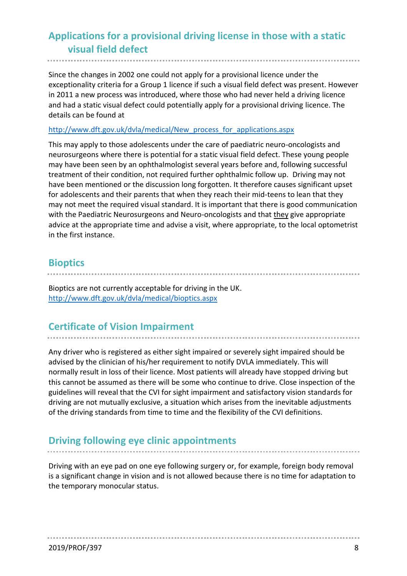# **Applications for a provisional driving license in those with a static visual field defect**

Since the changes in 2002 one could not apply for a provisional licence under the exceptionality criteria for a Group 1 licence if such a visual field defect was present. However in 2011 a new process was introduced, where those who had never held a driving licence and had a static visual defect could potentially apply for a provisional driving licence. The details can be found at

#### [http://www.dft.gov.uk/dvla/medical/New\\_process\\_for\\_applications.aspx](http://www.dft.gov.uk/dvla/medical/New_process_for_applications.aspx)

This may apply to those adolescents under the care of paediatric neuro-oncologists and neurosurgeons where there is potential for a static visual field defect. These young people may have been seen by an ophthalmologist several years before and, following successful treatment of their condition, not required further ophthalmic follow up. Driving may not have been mentioned or the discussion long forgotten. It therefore causes significant upset for adolescents and their parents that when they reach their mid-teens to lean that they may not meet the required visual standard. It is important that there is good communication with the Paediatric Neurosurgeons and Neuro-oncologists and that they give appropriate advice at the appropriate time and advise a visit, where appropriate, to the local optometrist in the first instance.

## **Bioptics**

Bioptics are not currently acceptable for driving in the UK. <http://www.dft.gov.uk/dvla/medical/bioptics.aspx>

## **Certificate of Vision Impairment**

Any driver who is registered as either sight impaired or severely sight impaired should be advised by the clinician of his/her requirement to notify DVLA immediately. This will normally result in loss of their licence. Most patients will already have stopped driving but this cannot be assumed as there will be some who continue to drive. Close inspection of the guidelines will reveal that the CVI for sight impairment and satisfactory vision standards for driving are not mutually exclusive, a situation which arises from the inevitable adjustments of the driving standards from time to time and the flexibility of the CVI definitions.

## **Driving following eye clinic appointments**

Driving with an eye pad on one eye following surgery or, for example, foreign body removal is a significant change in vision and is not allowed because there is no time for adaptation to the temporary monocular status.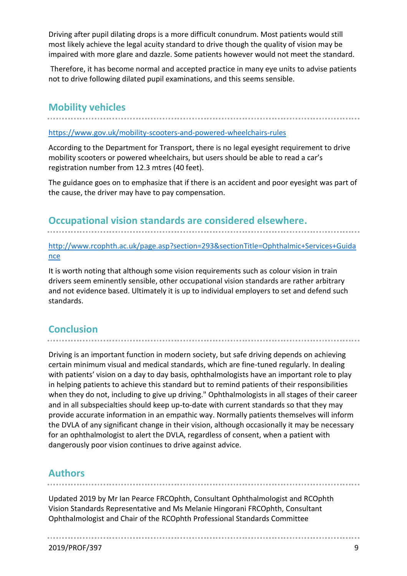Driving after pupil dilating drops is a more difficult conundrum. Most patients would still most likely achieve the legal acuity standard to drive though the quality of vision may be impaired with more glare and dazzle. Some patients however would not meet the standard.

Therefore, it has become normal and accepted practice in many eye units to advise patients not to drive following dilated pupil examinations, and this seems sensible.

#### **Mobility vehicles**

#### <https://www.gov.uk/mobility-scooters-and-powered-wheelchairs-rules>

According to the Department for Transport, there is no legal eyesight requirement to drive mobility scooters or powered wheelchairs, but users should be able to read a car's registration number from 12.3 mtres (40 feet).

The guidance goes on to emphasize that if there is an accident and poor eyesight was part of the cause, the driver may have to pay compensation.

#### **Occupational vision standards are considered elsewhere.**

[http://www.rcophth.ac.uk/page.asp?section=293&sectionTitle=Ophthalmic+Services+Guida](http://www.rcophth.ac.uk/page.asp?section=293§ionTitle=Ophthalmic+Services+Guidance) [nce](http://www.rcophth.ac.uk/page.asp?section=293§ionTitle=Ophthalmic+Services+Guidance)

It is worth noting that although some vision requirements such as colour vision in train drivers seem eminently sensible, other occupational vision standards are rather arbitrary and not evidence based. Ultimately it is up to individual employers to set and defend such standards.

# **Conclusion**

Driving is an important function in modern society, but safe driving depends on achieving certain minimum visual and medical standards, which are fine-tuned regularly. In dealing with patients' vision on a day to day basis, ophthalmologists have an important role to play in helping patients to achieve this standard but to remind patients of their responsibilities when they do not, including to give up driving." Ophthalmologists in all stages of their career and in all subspecialties should keep up-to-date with current standards so that they may provide accurate information in an empathic way. Normally patients themselves will inform the DVLA of any significant change in their vision, although occasionally it may be necessary for an ophthalmologist to alert the DVLA, regardless of consent, when a patient with dangerously poor vision continues to drive against advice.

## **Authors**

Updated 2019 by Mr Ian Pearce FRCOphth, Consultant Ophthalmologist and RCOphth Vision Standards Representative and Ms Melanie Hingorani FRCOphth, Consultant Ophthalmologist and Chair of the RCOphth Professional Standards Committee